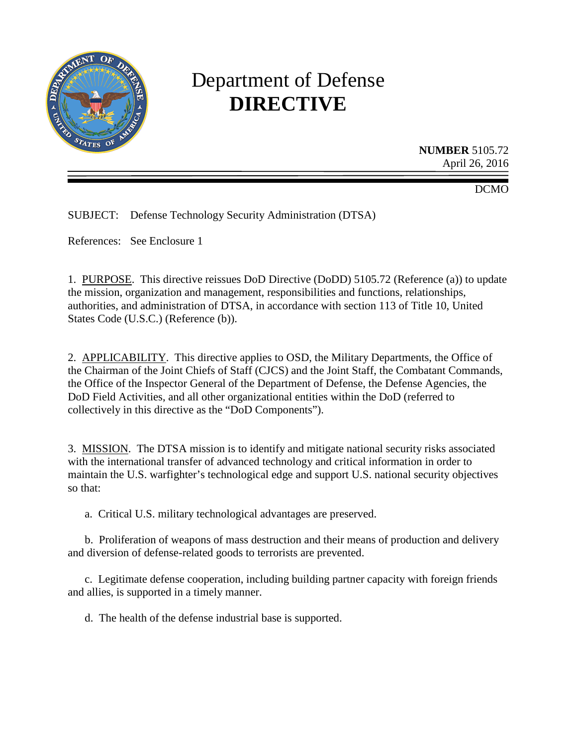

# Department of Defense **DIRECTIVE**

**NUMBER** 5105.72 April 26, 2016

DCMO

SUBJECT: Defense Technology Security Administration (DTSA)

References: See Enclosure 1

1. PURPOSE. This directive reissues DoD Directive (DoDD) 5105.72 (Reference (a)) to update the mission, organization and management, responsibilities and functions, relationships, authorities, and administration of DTSA, in accordance with section 113 of Title 10, United States Code (U.S.C.) (Reference (b)).

2. APPLICABILITY. This directive applies to OSD, the Military Departments, the Office of the Chairman of the Joint Chiefs of Staff (CJCS) and the Joint Staff, the Combatant Commands, the Office of the Inspector General of the Department of Defense, the Defense Agencies, the DoD Field Activities, and all other organizational entities within the DoD (referred to collectively in this directive as the "DoD Components").

3. MISSION. The DTSA mission is to identify and mitigate national security risks associated with the international transfer of advanced technology and critical information in order to maintain the U.S. warfighter's technological edge and support U.S. national security objectives so that:

a. Critical U.S. military technological advantages are preserved.

b. Proliferation of weapons of mass destruction and their means of production and delivery and diversion of defense-related goods to terrorists are prevented.

c. Legitimate defense cooperation, including building partner capacity with foreign friends and allies, is supported in a timely manner.

d. The health of the defense industrial base is supported.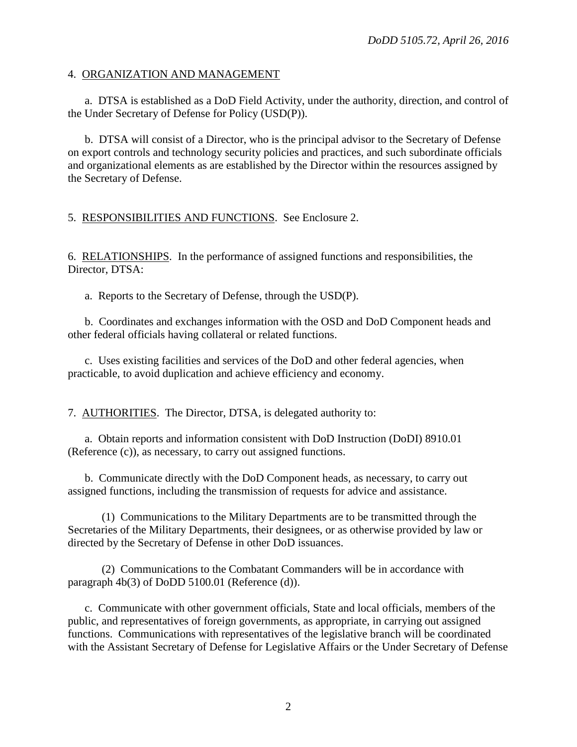#### 4. ORGANIZATION AND MANAGEMENT

a. DTSA is established as a DoD Field Activity, under the authority, direction, and control of the Under Secretary of Defense for Policy (USD(P)).

b. DTSA will consist of a Director, who is the principal advisor to the Secretary of Defense on export controls and technology security policies and practices, and such subordinate officials and organizational elements as are established by the Director within the resources assigned by the Secretary of Defense.

5. RESPONSIBILITIES AND FUNCTIONS. See Enclosure 2.

6. RELATIONSHIPS. In the performance of assigned functions and responsibilities, the Director, DTSA:

a. Reports to the Secretary of Defense, through the USD(P).

b. Coordinates and exchanges information with the OSD and DoD Component heads and other federal officials having collateral or related functions.

c. Uses existing facilities and services of the DoD and other federal agencies, when practicable, to avoid duplication and achieve efficiency and economy.

7. AUTHORITIES. The Director, DTSA, is delegated authority to:

a. Obtain reports and information consistent with DoD Instruction (DoDI) 8910.01 (Reference (c)), as necessary, to carry out assigned functions.

b. Communicate directly with the DoD Component heads, as necessary, to carry out assigned functions, including the transmission of requests for advice and assistance.

(1) Communications to the Military Departments are to be transmitted through the Secretaries of the Military Departments, their designees, or as otherwise provided by law or directed by the Secretary of Defense in other DoD issuances.

(2) Communications to the Combatant Commanders will be in accordance with paragraph 4b(3) of DoDD 5100.01 (Reference (d)).

c. Communicate with other government officials, State and local officials, members of the public, and representatives of foreign governments, as appropriate, in carrying out assigned functions. Communications with representatives of the legislative branch will be coordinated with the Assistant Secretary of Defense for Legislative Affairs or the Under Secretary of Defense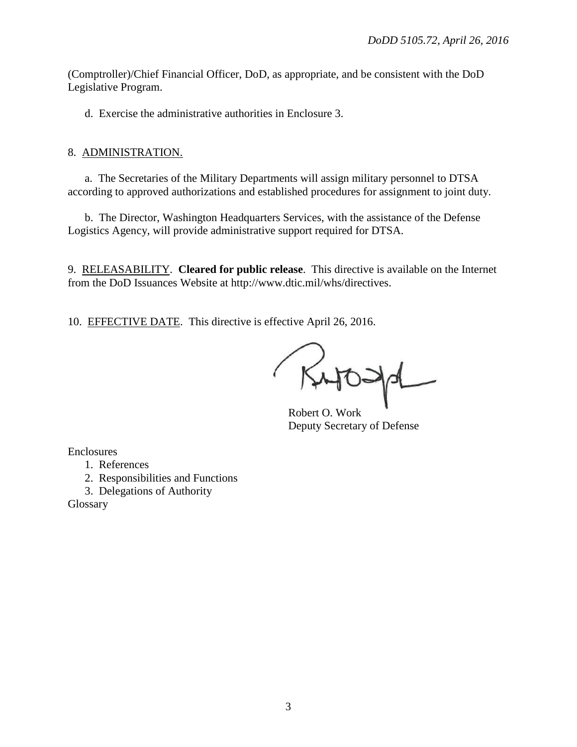(Comptroller)/Chief Financial Officer, DoD, as appropriate, and be consistent with the DoD Legislative Program.

d. Exercise the administrative authorities in Enclosure 3.

#### 8. ADMINISTRATION.

a. The Secretaries of the Military Departments will assign military personnel to DTSA according to approved authorizations and established procedures for assignment to joint duty.

b. The Director, Washington Headquarters Services, with the assistance of the Defense Logistics Agency, will provide administrative support required for DTSA.

9. RELEASABILITY. **Cleared for public release**. This directive is available on the Internet from the DoD Issuances Website at http://www.dtic.mil/whs/directives.

10. EFFECTIVE DATE. This directive is effective April 26, 2016.

Robert O. Work Deputy Secretary of Defense

Enclosures

1. References

2. Responsibilities and Functions

3. Delegations of Authority

Glossary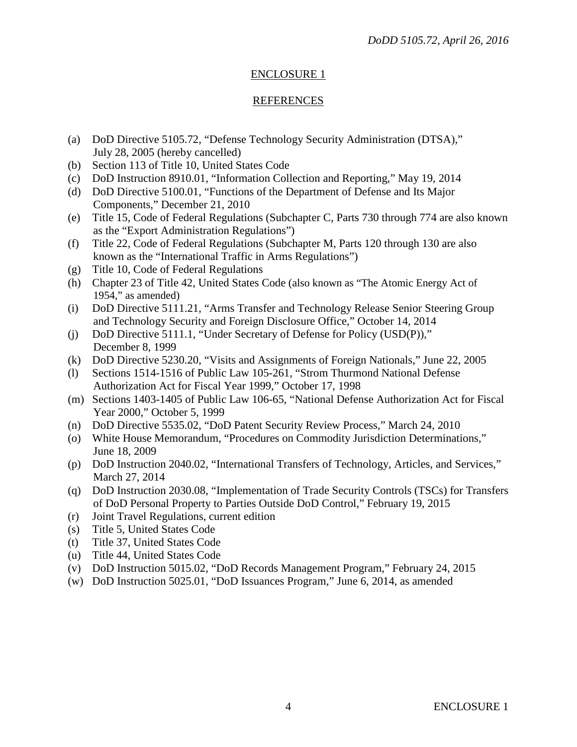## ENCLOSURE 1

## REFERENCES

- (a) DoD Directive 5105.72, "Defense Technology Security Administration (DTSA)," July 28, 2005 (hereby cancelled)
- (b) Section 113 of Title 10, United States Code
- (c) DoD Instruction 8910.01, "Information Collection and Reporting," May 19, 2014
- (d) DoD Directive 5100.01, "Functions of the Department of Defense and Its Major Components," December 21, 2010
- (e) Title 15, Code of Federal Regulations (Subchapter C, Parts 730 through 774 are also known as the "Export Administration Regulations")
- (f) Title 22, Code of Federal Regulations (Subchapter M, Parts 120 through 130 are also known as the "International Traffic in Arms Regulations")
- (g) Title 10, Code of Federal Regulations
- (h) Chapter 23 of Title 42, United States Code (also known as "The Atomic Energy Act of 1954," as amended)
- (i) DoD Directive 5111.21, "Arms Transfer and Technology Release Senior Steering Group and Technology Security and Foreign Disclosure Office," October 14, 2014
- (j) DoD Directive 5111.1, "Under Secretary of Defense for Policy (USD(P))," December 8, 1999
- (k) DoD Directive 5230.20, "Visits and Assignments of Foreign Nationals," June 22, 2005
- (l) Sections 1514-1516 of Public Law 105-261, "Strom Thurmond National Defense Authorization Act for Fiscal Year 1999," October 17, 1998
- (m) Sections 1403-1405 of Public Law 106-65, "National Defense Authorization Act for Fiscal Year 2000," October 5, 1999
- (n) DoD Directive 5535.02, "DoD Patent Security Review Process," March 24, 2010
- (o) White House Memorandum, "Procedures on Commodity Jurisdiction Determinations," June 18, 2009
- (p) DoD Instruction 2040.02, "International Transfers of Technology, Articles, and Services," March 27, 2014
- (q) DoD Instruction 2030.08, "Implementation of Trade Security Controls (TSCs) for Transfers of DoD Personal Property to Parties Outside DoD Control," February 19, 2015
- (r) Joint Travel Regulations, current edition
- (s) Title 5, United States Code
- (t) Title 37, United States Code
- (u) Title 44, United States Code
- (v) DoD Instruction 5015.02, "DoD Records Management Program," February 24, 2015
- (w) DoD Instruction 5025.01, "DoD Issuances Program," June 6, 2014, as amended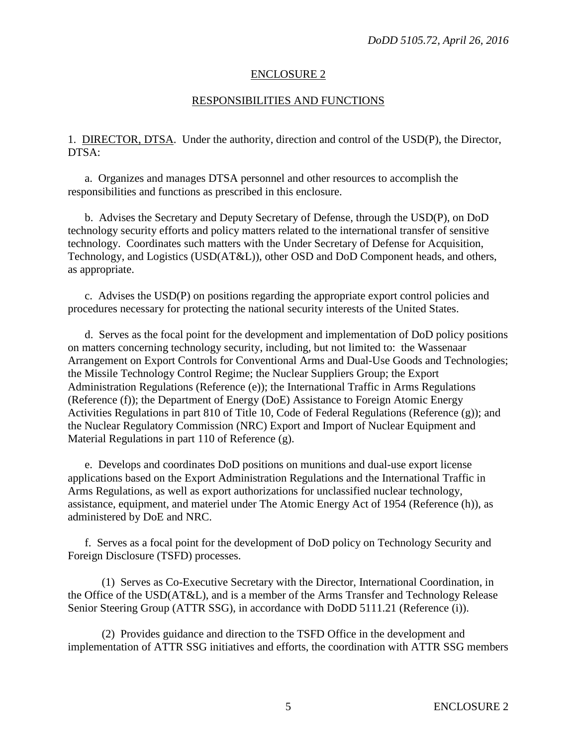#### ENCLOSURE 2

#### RESPONSIBILITIES AND FUNCTIONS

1. DIRECTOR, DTSA. Under the authority, direction and control of the USD(P), the Director, DTSA:

a. Organizes and manages DTSA personnel and other resources to accomplish the responsibilities and functions as prescribed in this enclosure.

b. Advises the Secretary and Deputy Secretary of Defense, through the USD(P), on DoD technology security efforts and policy matters related to the international transfer of sensitive technology. Coordinates such matters with the Under Secretary of Defense for Acquisition, Technology, and Logistics (USD(AT&L)), other OSD and DoD Component heads, and others, as appropriate.

c. Advises the USD(P) on positions regarding the appropriate export control policies and procedures necessary for protecting the national security interests of the United States.

d. Serves as the focal point for the development and implementation of DoD policy positions on matters concerning technology security, including, but not limited to: the Wassenaar Arrangement on Export Controls for Conventional Arms and Dual-Use Goods and Technologies; the Missile Technology Control Regime; the Nuclear Suppliers Group; the Export Administration Regulations (Reference (e)); the International Traffic in Arms Regulations (Reference (f)); the Department of Energy (DoE) Assistance to Foreign Atomic Energy Activities Regulations in part 810 of Title 10, Code of Federal Regulations (Reference (g)); and the Nuclear Regulatory Commission (NRC) Export and Import of Nuclear Equipment and Material Regulations in part 110 of Reference (g).

e. Develops and coordinates DoD positions on munitions and dual-use export license applications based on the Export Administration Regulations and the International Traffic in Arms Regulations, as well as export authorizations for unclassified nuclear technology, assistance, equipment, and materiel under The Atomic Energy Act of 1954 (Reference (h)), as administered by DoE and NRC.

f. Serves as a focal point for the development of DoD policy on Technology Security and Foreign Disclosure (TSFD) processes.

(1) Serves as Co-Executive Secretary with the Director, International Coordination, in the Office of the USD(AT&L), and is a member of the Arms Transfer and Technology Release Senior Steering Group (ATTR SSG), in accordance with DoDD 5111.21 (Reference (i)).

(2) Provides guidance and direction to the TSFD Office in the development and implementation of ATTR SSG initiatives and efforts, the coordination with ATTR SSG members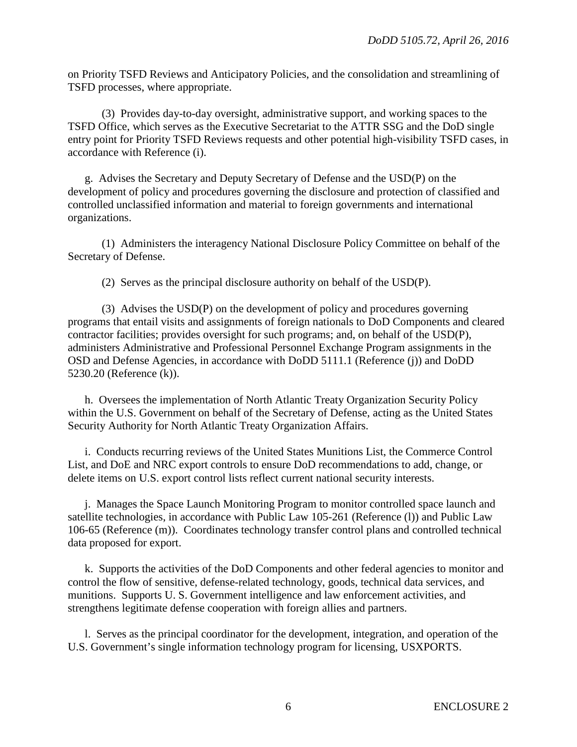on Priority TSFD Reviews and Anticipatory Policies, and the consolidation and streamlining of TSFD processes, where appropriate.

(3) Provides day-to-day oversight, administrative support, and working spaces to the TSFD Office, which serves as the Executive Secretariat to the ATTR SSG and the DoD single entry point for Priority TSFD Reviews requests and other potential high-visibility TSFD cases, in accordance with Reference (i).

g. Advises the Secretary and Deputy Secretary of Defense and the USD(P) on the development of policy and procedures governing the disclosure and protection of classified and controlled unclassified information and material to foreign governments and international organizations.

(1) Administers the interagency National Disclosure Policy Committee on behalf of the Secretary of Defense.

(2) Serves as the principal disclosure authority on behalf of the USD(P).

(3) Advises the USD(P) on the development of policy and procedures governing programs that entail visits and assignments of foreign nationals to DoD Components and cleared contractor facilities; provides oversight for such programs; and, on behalf of the USD(P), administers Administrative and Professional Personnel Exchange Program assignments in the OSD and Defense Agencies, in accordance with DoDD 5111.1 (Reference (j)) and DoDD 5230.20 (Reference (k)).

h. Oversees the implementation of North Atlantic Treaty Organization Security Policy within the U.S. Government on behalf of the Secretary of Defense, acting as the United States Security Authority for North Atlantic Treaty Organization Affairs.

i. Conducts recurring reviews of the United States Munitions List, the Commerce Control List, and DoE and NRC export controls to ensure DoD recommendations to add, change, or delete items on U.S. export control lists reflect current national security interests.

j. Manages the Space Launch Monitoring Program to monitor controlled space launch and satellite technologies, in accordance with Public Law 105-261 (Reference (1)) and Public Law 106-65 (Reference (m)). Coordinates technology transfer control plans and controlled technical data proposed for export.

k. Supports the activities of the DoD Components and other federal agencies to monitor and control the flow of sensitive, defense-related technology, goods, technical data services, and munitions. Supports U. S. Government intelligence and law enforcement activities, and strengthens legitimate defense cooperation with foreign allies and partners.

l. Serves as the principal coordinator for the development, integration, and operation of the U.S. Government's single information technology program for licensing, USXPORTS.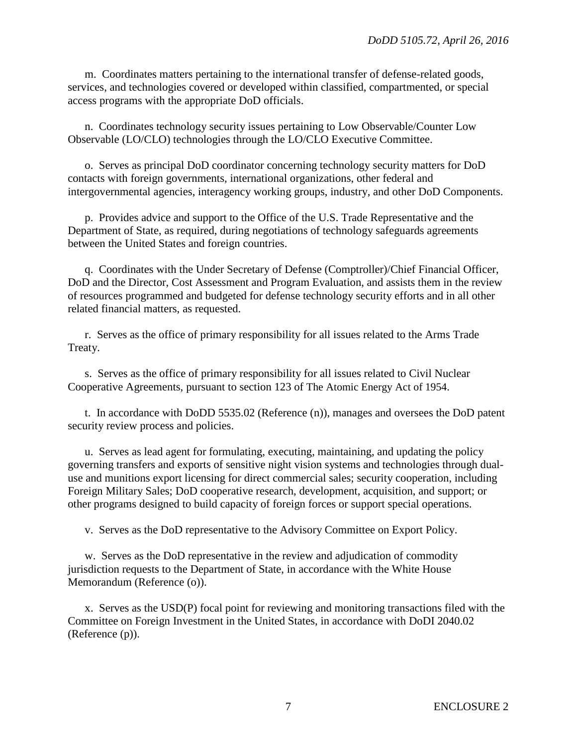m. Coordinates matters pertaining to the international transfer of defense-related goods, services, and technologies covered or developed within classified, compartmented, or special access programs with the appropriate DoD officials.

n. Coordinates technology security issues pertaining to Low Observable/Counter Low Observable (LO/CLO) technologies through the LO/CLO Executive Committee.

o. Serves as principal DoD coordinator concerning technology security matters for DoD contacts with foreign governments, international organizations, other federal and intergovernmental agencies, interagency working groups, industry, and other DoD Components.

p. Provides advice and support to the Office of the U.S. Trade Representative and the Department of State, as required, during negotiations of technology safeguards agreements between the United States and foreign countries.

q. Coordinates with the Under Secretary of Defense (Comptroller)/Chief Financial Officer, DoD and the Director, Cost Assessment and Program Evaluation, and assists them in the review of resources programmed and budgeted for defense technology security efforts and in all other related financial matters, as requested.

r. Serves as the office of primary responsibility for all issues related to the Arms Trade Treaty.

s. Serves as the office of primary responsibility for all issues related to Civil Nuclear Cooperative Agreements, pursuant to section 123 of The Atomic Energy Act of 1954.

t. In accordance with DoDD 5535.02 (Reference (n)), manages and oversees the DoD patent security review process and policies.

u. Serves as lead agent for formulating, executing, maintaining, and updating the policy governing transfers and exports of sensitive night vision systems and technologies through dualuse and munitions export licensing for direct commercial sales; security cooperation, including Foreign Military Sales; DoD cooperative research, development, acquisition, and support; or other programs designed to build capacity of foreign forces or support special operations.

v. Serves as the DoD representative to the Advisory Committee on Export Policy.

w. Serves as the DoD representative in the review and adjudication of commodity jurisdiction requests to the Department of State, in accordance with the White House Memorandum (Reference (o)).

x. Serves as the USD(P) focal point for reviewing and monitoring transactions filed with the Committee on Foreign Investment in the United States, in accordance with DoDI 2040.02 (Reference (p)).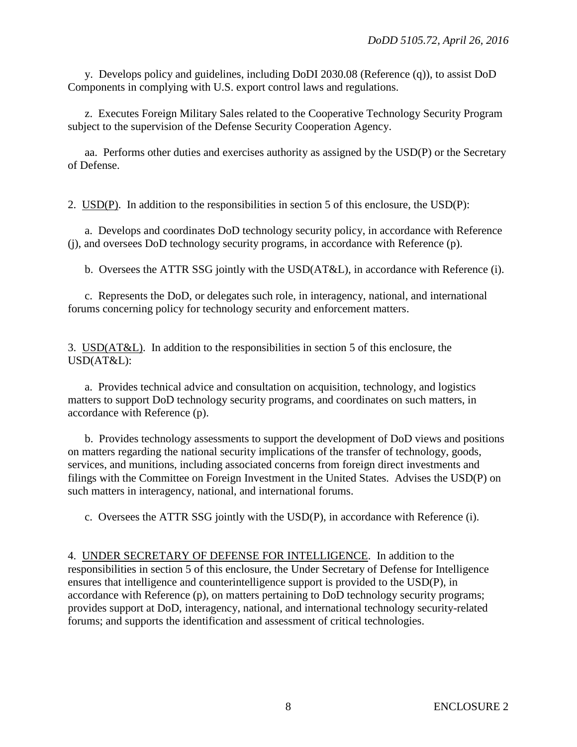y. Develops policy and guidelines, including DoDI 2030.08 (Reference (q)), to assist DoD Components in complying with U.S. export control laws and regulations.

z. Executes Foreign Military Sales related to the Cooperative Technology Security Program subject to the supervision of the Defense Security Cooperation Agency.

aa. Performs other duties and exercises authority as assigned by the USD(P) or the Secretary of Defense.

2. USD(P). In addition to the responsibilities in section 5 of this enclosure, the USD(P):

a. Develops and coordinates DoD technology security policy, in accordance with Reference (j), and oversees DoD technology security programs, in accordance with Reference (p).

b. Oversees the ATTR SSG jointly with the USD(AT&L), in accordance with Reference (i).

c. Represents the DoD, or delegates such role, in interagency, national, and international forums concerning policy for technology security and enforcement matters.

3. USD(AT&L). In addition to the responsibilities in section 5 of this enclosure, the USD(AT&L):

a. Provides technical advice and consultation on acquisition, technology, and logistics matters to support DoD technology security programs, and coordinates on such matters, in accordance with Reference (p).

b. Provides technology assessments to support the development of DoD views and positions on matters regarding the national security implications of the transfer of technology, goods, services, and munitions, including associated concerns from foreign direct investments and filings with the Committee on Foreign Investment in the United States. Advises the USD(P) on such matters in interagency, national, and international forums.

c. Oversees the ATTR SSG jointly with the USD(P), in accordance with Reference (i).

4. UNDER SECRETARY OF DEFENSE FOR INTELLIGENCE. In addition to the responsibilities in section 5 of this enclosure, the Under Secretary of Defense for Intelligence ensures that intelligence and counterintelligence support is provided to the USD(P), in accordance with Reference (p), on matters pertaining to DoD technology security programs; provides support at DoD, interagency, national, and international technology security-related forums; and supports the identification and assessment of critical technologies.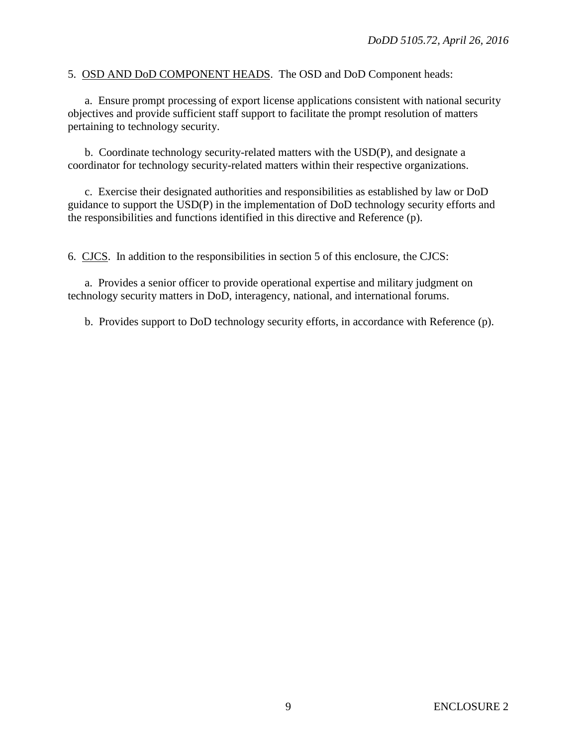5. OSD AND DoD COMPONENT HEADS. The OSD and DoD Component heads:

a. Ensure prompt processing of export license applications consistent with national security objectives and provide sufficient staff support to facilitate the prompt resolution of matters pertaining to technology security.

b. Coordinate technology security-related matters with the USD(P), and designate a coordinator for technology security-related matters within their respective organizations.

c. Exercise their designated authorities and responsibilities as established by law or DoD guidance to support the USD(P) in the implementation of DoD technology security efforts and the responsibilities and functions identified in this directive and Reference (p).

6. CJCS. In addition to the responsibilities in section 5 of this enclosure, the CJCS:

a. Provides a senior officer to provide operational expertise and military judgment on technology security matters in DoD, interagency, national, and international forums.

b. Provides support to DoD technology security efforts, in accordance with Reference (p).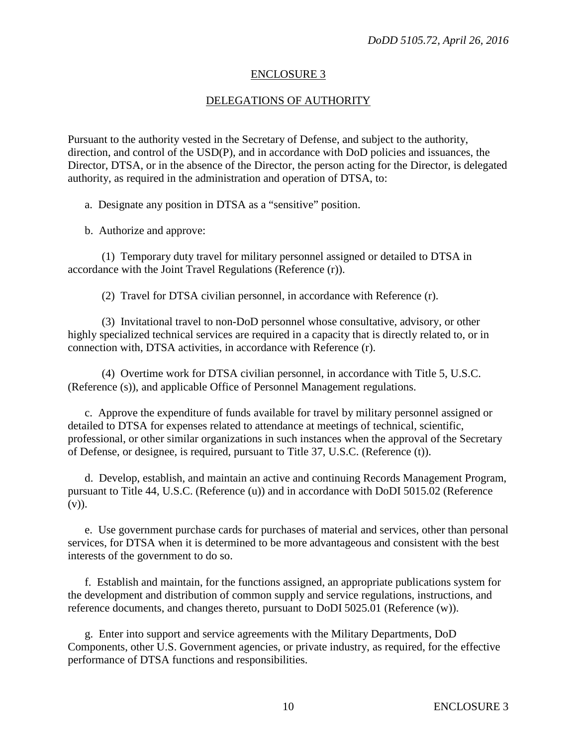#### ENCLOSURE 3

## DELEGATIONS OF AUTHORITY

Pursuant to the authority vested in the Secretary of Defense, and subject to the authority, direction, and control of the USD(P), and in accordance with DoD policies and issuances, the Director, DTSA, or in the absence of the Director, the person acting for the Director, is delegated authority, as required in the administration and operation of DTSA, to:

a. Designate any position in DTSA as a "sensitive" position.

b. Authorize and approve:

(1) Temporary duty travel for military personnel assigned or detailed to DTSA in accordance with the Joint Travel Regulations (Reference (r)).

(2) Travel for DTSA civilian personnel, in accordance with Reference (r).

(3) Invitational travel to non-DoD personnel whose consultative, advisory, or other highly specialized technical services are required in a capacity that is directly related to, or in connection with, DTSA activities, in accordance with Reference (r).

(4) Overtime work for DTSA civilian personnel, in accordance with Title 5, U.S.C. (Reference (s)), and applicable Office of Personnel Management regulations.

c. Approve the expenditure of funds available for travel by military personnel assigned or detailed to DTSA for expenses related to attendance at meetings of technical, scientific, professional, or other similar organizations in such instances when the approval of the Secretary of Defense, or designee, is required, pursuant to Title 37, U.S.C. (Reference (t)).

d. Develop, establish, and maintain an active and continuing Records Management Program, pursuant to Title 44, U.S.C. (Reference (u)) and in accordance with DoDI 5015.02 (Reference  $(v)$ ).

e. Use government purchase cards for purchases of material and services, other than personal services, for DTSA when it is determined to be more advantageous and consistent with the best interests of the government to do so.

f. Establish and maintain, for the functions assigned, an appropriate publications system for the development and distribution of common supply and service regulations, instructions, and reference documents, and changes thereto, pursuant to DoDI 5025.01 (Reference (w)).

g. Enter into support and service agreements with the Military Departments, DoD Components, other U.S. Government agencies, or private industry, as required, for the effective performance of DTSA functions and responsibilities.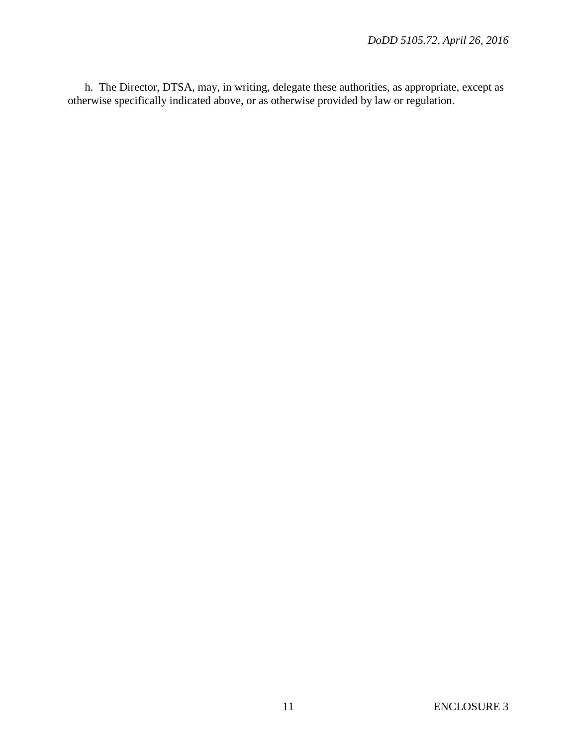h. The Director, DTSA, may, in writing, delegate these authorities, as appropriate, except as otherwise specifically indicated above, or as otherwise provided by law or regulation.